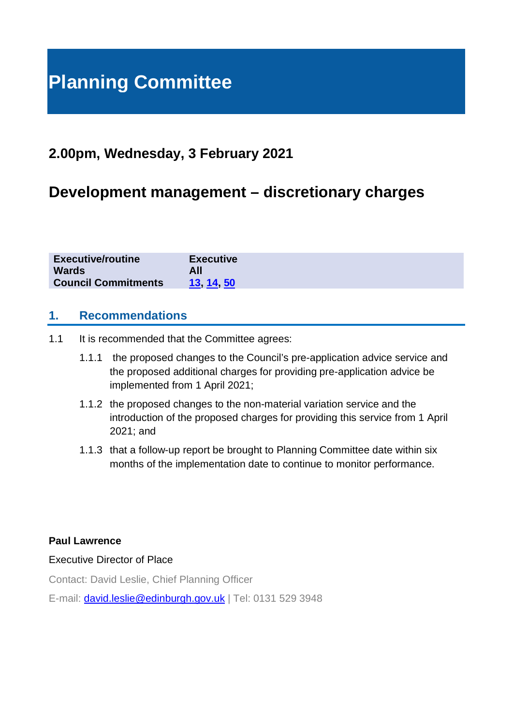# **Planning Committee**

# **2.00pm, Wednesday, 3 February 2021**

# **Development management – discretionary charges**

| <b>Executive/routine</b>   | <b>Executive</b> |
|----------------------------|------------------|
| <b>Wards</b>               |                  |
| <b>Council Commitments</b> | 13 14 50         |

#### **1. Recommendations**

- 1.1 It is recommended that the Committee agrees:
	- 1.1.1 the proposed changes to the Council's pre-application advice service and the proposed additional charges for providing pre-application advice be implemented from 1 April 2021;
	- 1.1.2 the proposed changes to the non-material variation service and the introduction of the proposed charges for providing this service from 1 April 2021; and
	- 1.1.3 that a follow-up report be brought to Planning Committee date within six months of the implementation date to continue to monitor performance.

#### **Paul Lawrence**

#### Executive Director of Place

Contact: David Leslie, Chief Planning Officer

E-mail: [david.leslie@edinburgh.gov.uk](mailto:david.leslie@edinburgh.gov.uk) | Tel: 0131 529 3948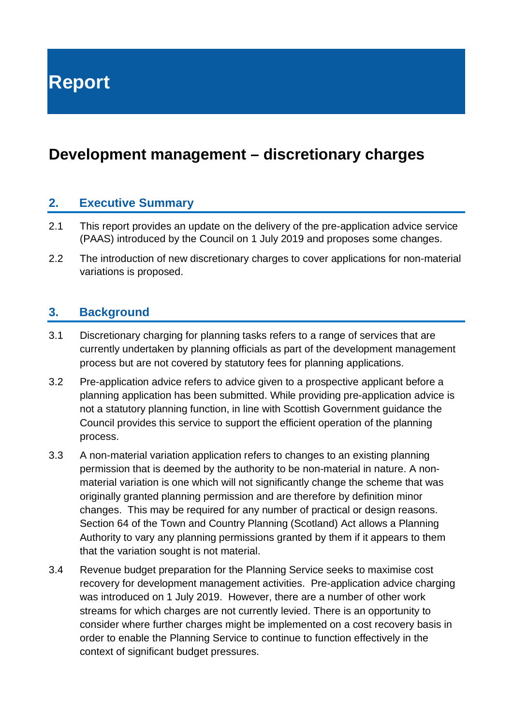**Report**

# **Development management – discretionary charges**

#### **2. Executive Summary**

- 2.1 This report provides an update on the delivery of the pre-application advice service (PAAS) introduced by the Council on 1 July 2019 and proposes some changes.
- 2.2 The introduction of new discretionary charges to cover applications for non-material variations is proposed.

#### **3. Background**

- 3.1 Discretionary charging for planning tasks refers to a range of services that are currently undertaken by planning officials as part of the development management process but are not covered by statutory fees for planning applications.
- 3.2 Pre-application advice refers to advice given to a prospective applicant before a planning application has been submitted. While providing pre-application advice is not a statutory planning function, in line with Scottish Government guidance the Council provides this service to support the efficient operation of the planning process.
- 3.3 A non-material variation application refers to changes to an existing planning permission that is deemed by the authority to be non-material in nature. A nonmaterial variation is one which will not significantly change the scheme that was originally granted planning permission and are therefore by definition minor changes. This may be required for any number of practical or design reasons. Section 64 of the Town and Country Planning (Scotland) Act allows a Planning Authority to vary any planning permissions granted by them if it appears to them that the variation sought is not material.
- 3.4 Revenue budget preparation for the Planning Service seeks to maximise cost recovery for development management activities. Pre-application advice charging was introduced on 1 July 2019. However, there are a number of other work streams for which charges are not currently levied. There is an opportunity to consider where further charges might be implemented on a cost recovery basis in order to enable the Planning Service to continue to function effectively in the context of significant budget pressures.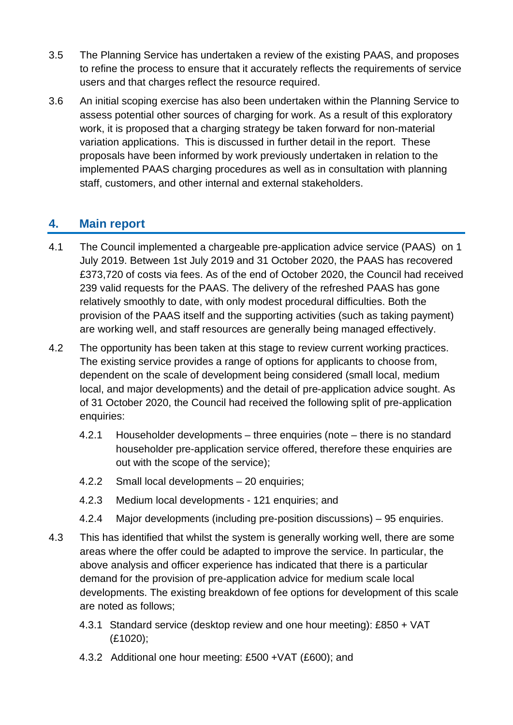- 3.5 The Planning Service has undertaken a review of the existing PAAS, and proposes to refine the process to ensure that it accurately reflects the requirements of service users and that charges reflect the resource required.
- 3.6 An initial scoping exercise has also been undertaken within the Planning Service to assess potential other sources of charging for work. As a result of this exploratory work, it is proposed that a charging strategy be taken forward for non-material variation applications. This is discussed in further detail in the report. These proposals have been informed by work previously undertaken in relation to the implemented PAAS charging procedures as well as in consultation with planning staff, customers, and other internal and external stakeholders.

#### **4. Main report**

- 4.1 The Council implemented a chargeable pre-application advice service (PAAS) on 1 July 2019. Between 1st July 2019 and 31 October 2020, the PAAS has recovered £373,720 of costs via fees. As of the end of October 2020, the Council had received 239 valid requests for the PAAS. The delivery of the refreshed PAAS has gone relatively smoothly to date, with only modest procedural difficulties. Both the provision of the PAAS itself and the supporting activities (such as taking payment) are working well, and staff resources are generally being managed effectively.
- 4.2 The opportunity has been taken at this stage to review current working practices. The existing service provides a range of options for applicants to choose from, dependent on the scale of development being considered (small local, medium local, and major developments) and the detail of pre-application advice sought. As of 31 October 2020, the Council had received the following split of pre-application enquiries:
	- 4.2.1 Householder developments three enquiries (note there is no standard householder pre-application service offered, therefore these enquiries are out with the scope of the service);
	- 4.2.2 Small local developments 20 enquiries;
	- 4.2.3 Medium local developments 121 enquiries; and
	- 4.2.4 Major developments (including pre-position discussions) 95 enquiries.
- 4.3 This has identified that whilst the system is generally working well, there are some areas where the offer could be adapted to improve the service. In particular, the above analysis and officer experience has indicated that there is a particular demand for the provision of pre-application advice for medium scale local developments. The existing breakdown of fee options for development of this scale are noted as follows;
	- 4.3.1 Standard service (desktop review and one hour meeting): £850 + VAT (£1020);
	- 4.3.2 Additional one hour meeting: £500 +VAT (£600); and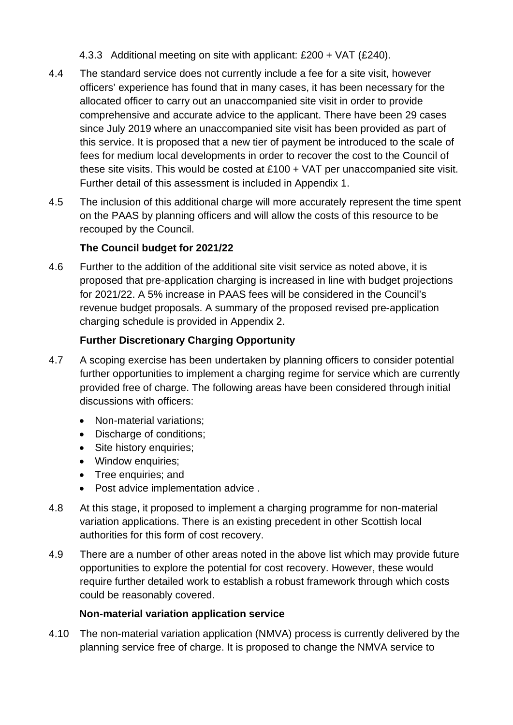- 4.3.3 Additional meeting on site with applicant: £200 + VAT (£240).
- 4.4 The standard service does not currently include a fee for a site visit, however officers' experience has found that in many cases, it has been necessary for the allocated officer to carry out an unaccompanied site visit in order to provide comprehensive and accurate advice to the applicant. There have been 29 cases since July 2019 where an unaccompanied site visit has been provided as part of this service. It is proposed that a new tier of payment be introduced to the scale of fees for medium local developments in order to recover the cost to the Council of these site visits. This would be costed at  $£100 + VAT$  per unaccompanied site visit. Further detail of this assessment is included in Appendix 1.
- 4.5 The inclusion of this additional charge will more accurately represent the time spent on the PAAS by planning officers and will allow the costs of this resource to be recouped by the Council.

#### **The Council budget for 2021/22**

4.6 Further to the addition of the additional site visit service as noted above, it is proposed that pre-application charging is increased in line with budget projections for 2021/22. A 5% increase in PAAS fees will be considered in the Council's revenue budget proposals. A summary of the proposed revised pre-application charging schedule is provided in Appendix 2.

#### **Further Discretionary Charging Opportunity**

- 4.7 A scoping exercise has been undertaken by planning officers to consider potential further opportunities to implement a charging regime for service which are currently provided free of charge. The following areas have been considered through initial discussions with officers:
	- Non-material variations;
	- Discharge of conditions;
	- Site history enquiries;
	- Window enquiries;
	- Tree enquiries; and
	- Post advice implementation advice .
- 4.8 At this stage, it proposed to implement a charging programme for non-material variation applications. There is an existing precedent in other Scottish local authorities for this form of cost recovery.
- 4.9 There are a number of other areas noted in the above list which may provide future opportunities to explore the potential for cost recovery. However, these would require further detailed work to establish a robust framework through which costs could be reasonably covered.

#### **Non-material variation application service**

4.10 The non-material variation application (NMVA) process is currently delivered by the planning service free of charge. It is proposed to change the NMVA service to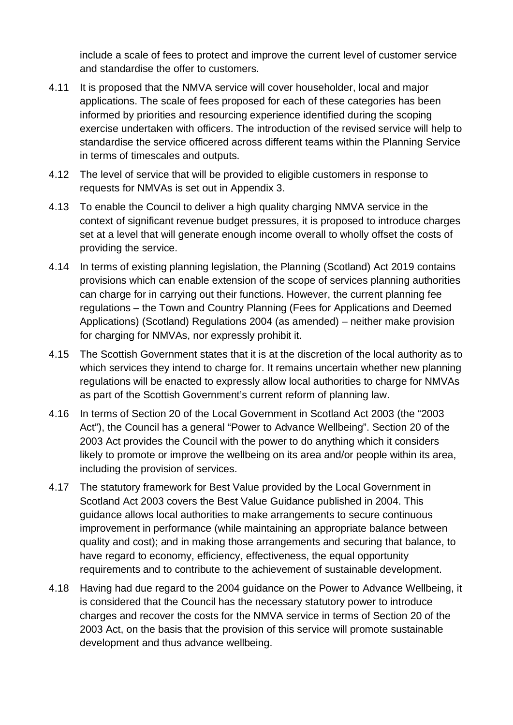include a scale of fees to protect and improve the current level of customer service and standardise the offer to customers.

- 4.11 It is proposed that the NMVA service will cover householder, local and major applications. The scale of fees proposed for each of these categories has been informed by priorities and resourcing experience identified during the scoping exercise undertaken with officers. The introduction of the revised service will help to standardise the service officered across different teams within the Planning Service in terms of timescales and outputs.
- 4.12 The level of service that will be provided to eligible customers in response to requests for NMVAs is set out in Appendix 3.
- 4.13 To enable the Council to deliver a high quality charging NMVA service in the context of significant revenue budget pressures, it is proposed to introduce charges set at a level that will generate enough income overall to wholly offset the costs of providing the service.
- 4.14 In terms of existing planning legislation, the Planning (Scotland) Act 2019 contains provisions which can enable extension of the scope of services planning authorities can charge for in carrying out their functions. However, the current planning fee regulations – the Town and Country Planning (Fees for Applications and Deemed Applications) (Scotland) Regulations 2004 (as amended) – neither make provision for charging for NMVAs, nor expressly prohibit it.
- 4.15 The Scottish Government states that it is at the discretion of the local authority as to which services they intend to charge for. It remains uncertain whether new planning regulations will be enacted to expressly allow local authorities to charge for NMVAs as part of the Scottish Government's current reform of planning law.
- 4.16 In terms of Section 20 of the Local Government in Scotland Act 2003 (the "2003 Act"), the Council has a general "Power to Advance Wellbeing". Section 20 of the 2003 Act provides the Council with the power to do anything which it considers likely to promote or improve the wellbeing on its area and/or people within its area, including the provision of services.
- 4.17 The statutory framework for Best Value provided by the Local Government in Scotland Act 2003 covers the Best Value Guidance published in 2004. This guidance allows local authorities to make arrangements to secure continuous improvement in performance (while maintaining an appropriate balance between quality and cost); and in making those arrangements and securing that balance, to have regard to economy, efficiency, effectiveness, the equal opportunity requirements and to contribute to the achievement of sustainable development.
- 4.18 Having had due regard to the 2004 guidance on the Power to Advance Wellbeing, it is considered that the Council has the necessary statutory power to introduce charges and recover the costs for the NMVA service in terms of Section 20 of the 2003 Act, on the basis that the provision of this service will promote sustainable development and thus advance wellbeing.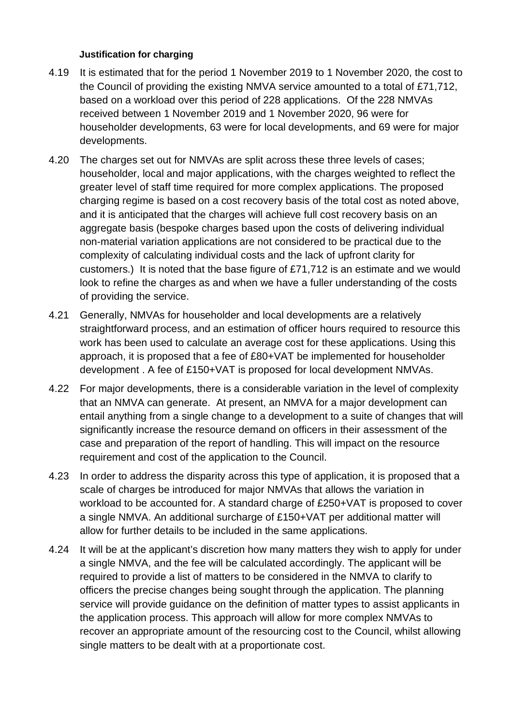#### **Justification for charging**

- 4.19 It is estimated that for the period 1 November 2019 to 1 November 2020, the cost to the Council of providing the existing NMVA service amounted to a total of £71,712, based on a workload over this period of 228 applications. Of the 228 NMVAs received between 1 November 2019 and 1 November 2020, 96 were for householder developments, 63 were for local developments, and 69 were for major developments.
- 4.20 The charges set out for NMVAs are split across these three levels of cases; householder, local and major applications, with the charges weighted to reflect the greater level of staff time required for more complex applications. The proposed charging regime is based on a cost recovery basis of the total cost as noted above, and it is anticipated that the charges will achieve full cost recovery basis on an aggregate basis (bespoke charges based upon the costs of delivering individual non-material variation applications are not considered to be practical due to the complexity of calculating individual costs and the lack of upfront clarity for customers.) It is noted that the base figure of £71,712 is an estimate and we would look to refine the charges as and when we have a fuller understanding of the costs of providing the service.
- 4.21 Generally, NMVAs for householder and local developments are a relatively straightforward process, and an estimation of officer hours required to resource this work has been used to calculate an average cost for these applications. Using this approach, it is proposed that a fee of £80+VAT be implemented for householder development . A fee of £150+VAT is proposed for local development NMVAs.
- 4.22 For major developments, there is a considerable variation in the level of complexity that an NMVA can generate. At present, an NMVA for a major development can entail anything from a single change to a development to a suite of changes that will significantly increase the resource demand on officers in their assessment of the case and preparation of the report of handling. This will impact on the resource requirement and cost of the application to the Council.
- 4.23 In order to address the disparity across this type of application, it is proposed that a scale of charges be introduced for major NMVAs that allows the variation in workload to be accounted for. A standard charge of £250+VAT is proposed to cover a single NMVA. An additional surcharge of £150+VAT per additional matter will allow for further details to be included in the same applications.
- 4.24 It will be at the applicant's discretion how many matters they wish to apply for under a single NMVA, and the fee will be calculated accordingly. The applicant will be required to provide a list of matters to be considered in the NMVA to clarify to officers the precise changes being sought through the application. The planning service will provide guidance on the definition of matter types to assist applicants in the application process. This approach will allow for more complex NMVAs to recover an appropriate amount of the resourcing cost to the Council, whilst allowing single matters to be dealt with at a proportionate cost.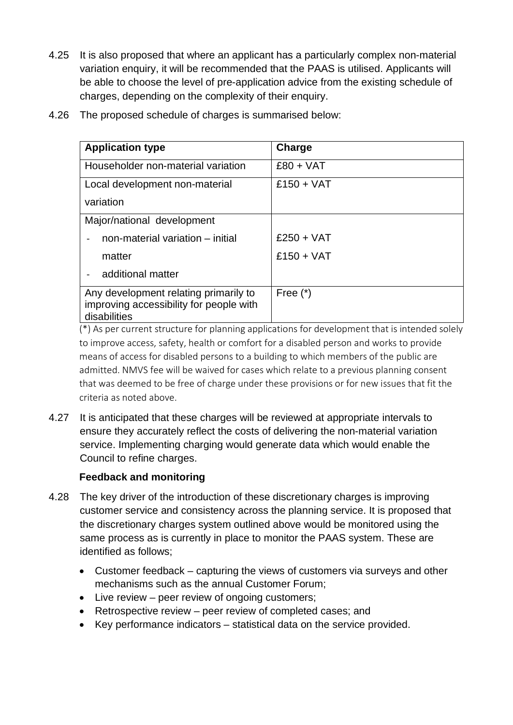- 4.25 It is also proposed that where an applicant has a particularly complex non-material variation enquiry, it will be recommended that the PAAS is utilised. Applicants will be able to choose the level of pre-application advice from the existing schedule of charges, depending on the complexity of their enquiry.
- 4.26 The proposed schedule of charges is summarised below:

| <b>Application type</b>                                                                          | Charge       |  |  |  |
|--------------------------------------------------------------------------------------------------|--------------|--|--|--|
| Householder non-material variation                                                               | $£80 + VAT$  |  |  |  |
| Local development non-material                                                                   | $£150 + VAT$ |  |  |  |
| variation                                                                                        |              |  |  |  |
| Major/national development                                                                       |              |  |  |  |
| non-material variation - initial                                                                 | $£250 + VAT$ |  |  |  |
| matter                                                                                           | $£150 + VAT$ |  |  |  |
| additional matter                                                                                |              |  |  |  |
| Any development relating primarily to<br>improving accessibility for people with<br>disabilities | Free $(*)$   |  |  |  |

(\*) As per current structure for planning applications for development that is intended solely to improve access, safety, health or comfort for a disabled person and works to provide means of access for disabled persons to a building to which members of the public are admitted. NMVS fee will be waived for cases which relate to a previous planning consent that was deemed to be free of charge under these provisions or for new issues that fit the criteria as noted above.

4.27 It is anticipated that these charges will be reviewed at appropriate intervals to ensure they accurately reflect the costs of delivering the non-material variation service. Implementing charging would generate data which would enable the Council to refine charges.

#### **Feedback and monitoring**

- 4.28 The key driver of the introduction of these discretionary charges is improving customer service and consistency across the planning service. It is proposed that the discretionary charges system outlined above would be monitored using the same process as is currently in place to monitor the PAAS system. These are identified as follows;
	- Customer feedback capturing the views of customers via surveys and other mechanisms such as the annual Customer Forum;
	- Live review peer review of ongoing customers;
	- Retrospective review peer review of completed cases; and
	- Key performance indicators statistical data on the service provided.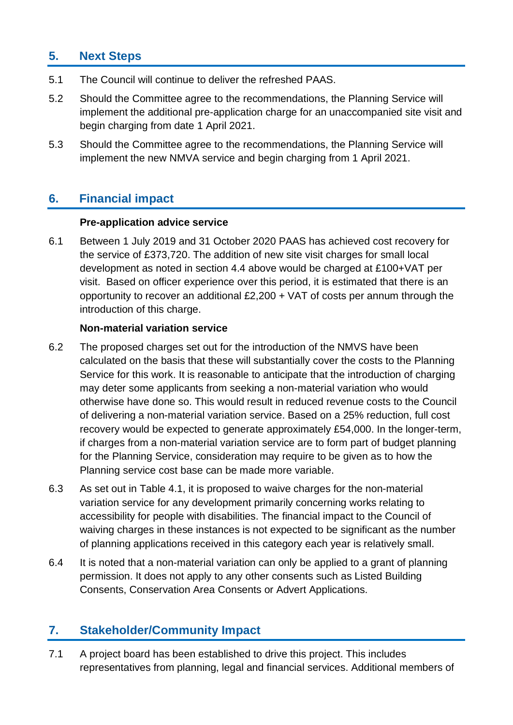### **5. Next Steps**

- 5.1 The Council will continue to deliver the refreshed PAAS.
- 5.2 Should the Committee agree to the recommendations, the Planning Service will implement the additional pre-application charge for an unaccompanied site visit and begin charging from date 1 April 2021.
- 5.3 Should the Committee agree to the recommendations, the Planning Service will implement the new NMVA service and begin charging from 1 April 2021.

### **6. Financial impact**

#### **Pre-application advice service**

6.1 Between 1 July 2019 and 31 October 2020 PAAS has achieved cost recovery for the service of £373,720. The addition of new site visit charges for small local development as noted in section 4.4 above would be charged at £100+VAT per visit. Based on officer experience over this period, it is estimated that there is an opportunity to recover an additional £2,200 + VAT of costs per annum through the introduction of this charge.

#### **Non-material variation service**

- 6.2 The proposed charges set out for the introduction of the NMVS have been calculated on the basis that these will substantially cover the costs to the Planning Service for this work. It is reasonable to anticipate that the introduction of charging may deter some applicants from seeking a non-material variation who would otherwise have done so. This would result in reduced revenue costs to the Council of delivering a non-material variation service. Based on a 25% reduction, full cost recovery would be expected to generate approximately £54,000. In the longer-term, if charges from a non-material variation service are to form part of budget planning for the Planning Service, consideration may require to be given as to how the Planning service cost base can be made more variable.
- 6.3 As set out in Table 4.1, it is proposed to waive charges for the non-material variation service for any development primarily concerning works relating to accessibility for people with disabilities. The financial impact to the Council of waiving charges in these instances is not expected to be significant as the number of planning applications received in this category each year is relatively small.
- 6.4 It is noted that a non-material variation can only be applied to a grant of planning permission. It does not apply to any other consents such as Listed Building Consents, Conservation Area Consents or Advert Applications.

### **7. Stakeholder/Community Impact**

7.1 A project board has been established to drive this project. This includes representatives from planning, legal and financial services. Additional members of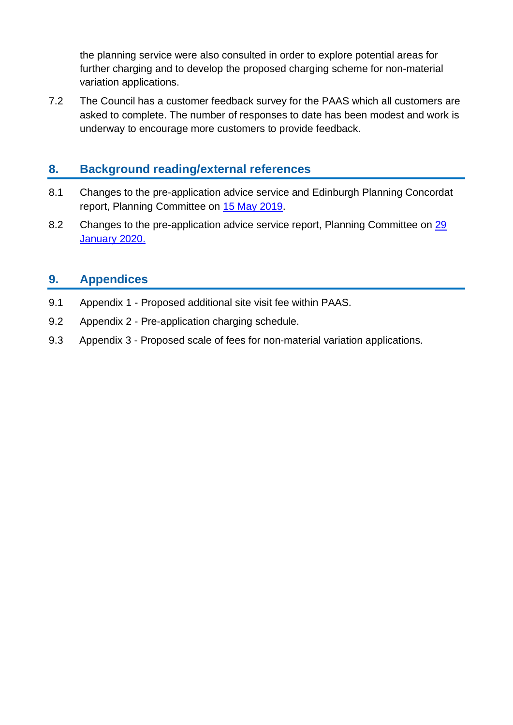the planning service were also consulted in order to explore potential areas for further charging and to develop the proposed charging scheme for non-material variation applications.

7.2 The Council has a customer feedback survey for the PAAS which all customers are asked to complete. The number of responses to date has been modest and work is underway to encourage more customers to provide feedback.

#### **8. Background reading/external references**

- 8.1 Changes to the pre-application advice service and Edinburgh Planning Concordat report, Planning Committee on [15 May 2019.](https://democracy.edinburgh.gov.uk/ieListDocuments.aspx?CId=147&MId=3719)
- 8.2 Changes to the pre-application advice service report, Planning Committee on 29 [January 2020.](https://democracy.edinburgh.gov.uk/ieListDocuments.aspx?CId=147&MId=5353)

#### **9. Appendices**

- 9.1 Appendix 1 Proposed additional site visit fee within PAAS.
- 9.2 Appendix 2 Pre-application charging schedule.
- 9.3 Appendix 3 Proposed scale of fees for non-material variation applications.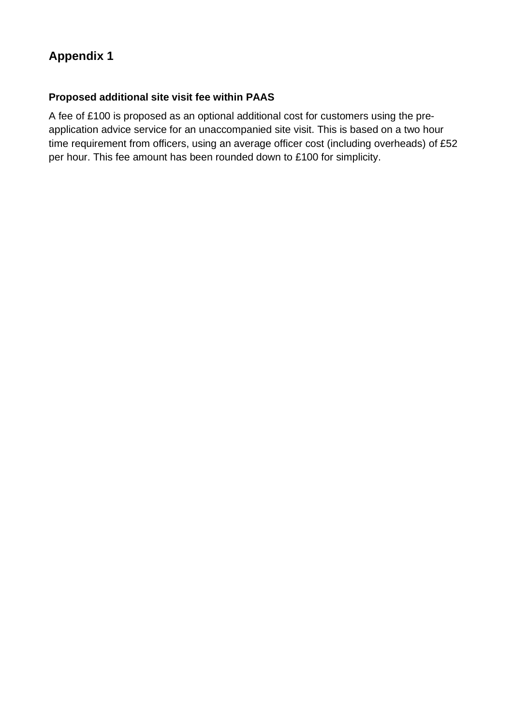# **Appendix 1**

#### **Proposed additional site visit fee within PAAS**

A fee of £100 is proposed as an optional additional cost for customers using the preapplication advice service for an unaccompanied site visit. This is based on a two hour time requirement from officers, using an average officer cost (including overheads) of £52 per hour. This fee amount has been rounded down to £100 for simplicity.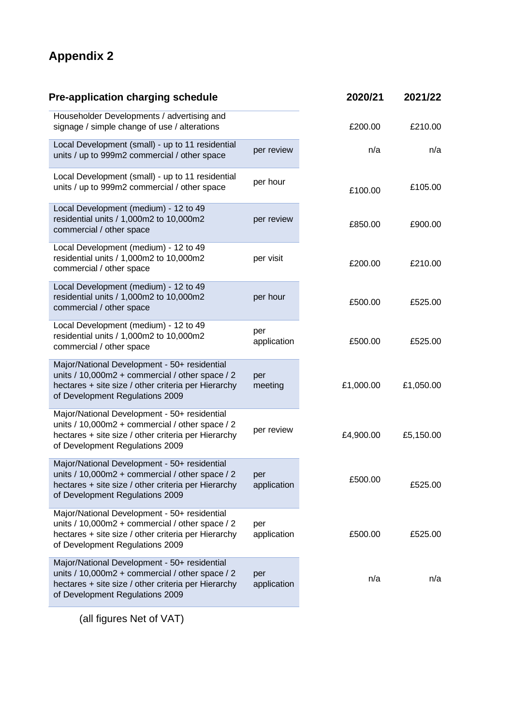# **Appendix 2**

| <b>Pre-application charging schedule</b>                                                                                                                                                  | 2020/21            | 2021/22   |           |
|-------------------------------------------------------------------------------------------------------------------------------------------------------------------------------------------|--------------------|-----------|-----------|
| Householder Developments / advertising and<br>signage / simple change of use / alterations                                                                                                |                    | £200.00   | £210.00   |
| Local Development (small) - up to 11 residential<br>units / up to 999m2 commercial / other space                                                                                          | per review         | n/a       | n/a       |
| Local Development (small) - up to 11 residential<br>units / up to 999m2 commercial / other space                                                                                          | per hour           | £100.00   | £105.00   |
| Local Development (medium) - 12 to 49<br>residential units / 1,000m2 to 10,000m2<br>commercial / other space                                                                              | per review         | £850.00   | £900.00   |
| Local Development (medium) - 12 to 49<br>residential units / 1,000m2 to 10,000m2<br>commercial / other space                                                                              | per visit          | £200.00   | £210.00   |
| Local Development (medium) - 12 to 49<br>residential units / 1,000m2 to 10,000m2<br>commercial / other space                                                                              | per hour           | £500.00   | £525.00   |
| Local Development (medium) - 12 to 49<br>residential units / 1,000m2 to 10,000m2<br>commercial / other space                                                                              | per<br>application | £500.00   | £525.00   |
| Major/National Development - 50+ residential<br>units / 10,000m2 + commercial / other space / 2<br>hectares + site size / other criteria per Hierarchy<br>of Development Regulations 2009 | per<br>meeting     | £1,000.00 | £1,050.00 |
| Major/National Development - 50+ residential<br>units / 10,000m2 + commercial / other space / 2<br>hectares + site size / other criteria per Hierarchy<br>of Development Regulations 2009 | per review         | £4,900.00 | £5,150.00 |
| Major/National Development - 50+ residential<br>units / 10,000m2 + commercial / other space / 2<br>hectares + site size / other criteria per Hierarchy<br>of Development Regulations 2009 | per<br>application | £500.00   | £525.00   |
| Major/National Development - 50+ residential<br>units / 10,000m2 + commercial / other space / 2<br>hectares + site size / other criteria per Hierarchy<br>of Development Regulations 2009 | per<br>application | £500.00   | £525.00   |
| Major/National Development - 50+ residential<br>units / 10,000m2 + commercial / other space / 2<br>hectares + site size / other criteria per Hierarchy<br>of Development Regulations 2009 | per<br>application | n/a       | n/a       |
|                                                                                                                                                                                           |                    |           |           |

(all figures Net of VAT)